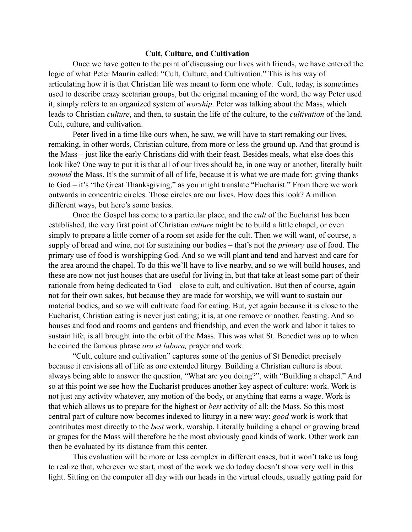## **Cult, Culture, and Cultivation**

Once we have gotten to the point of discussing our lives with friends, we have entered the logic of what Peter Maurin called: "Cult, Culture, and Cultivation." This is his way of articulating how it is that Christian life was meant to form one whole. Cult, today, is sometimes used to describe crazy sectarian groups, but the original meaning of the word, the way Peter used it, simply refers to an organized system of *worship*. Peter was talking about the Mass, which leads to Christian *culture*, and then, to sustain the life of the culture, to the *cultivation* of the land. Cult, culture, and cultivation.

Peter lived in a time like ours when, he saw, we will have to start remaking our lives, remaking, in other words, Christian culture, from more or less the ground up. And that ground is the Mass – just like the early Christians did with their feast. Besides meals, what else does this look like? One way to put it is that all of our lives should be, in one way or another, literally built *around* the Mass. It's the summit of all of life, because it is what we are made for: giving thanks to God – it's "the Great Thanksgiving," as you might translate "Eucharist." From there we work outwards in concentric circles. Those circles are our lives. How does this look? A million different ways, but here's some basics.

Once the Gospel has come to a particular place, and the *cult* of the Eucharist has been established, the very first point of Christian *culture* might be to build a little chapel, or even simply to prepare a little corner of a room set aside for the cult. Then we will want, of course, a supply of bread and wine, not for sustaining our bodies – that's not the *primary* use of food. The primary use of food is worshipping God. And so we will plant and tend and harvest and care for the area around the chapel. To do this we'll have to live nearby, and so we will build houses, and these are now not just houses that are useful for living in, but that take at least some part of their rationale from being dedicated to God – close to cult, and cultivation. But then of course, again not for their own sakes, but because they are made for worship, we will want to sustain our material bodies, and so we will cultivate food for eating. But, yet again because it is close to the Eucharist, Christian eating is never just eating; it is, at one remove or another, feasting. And so houses and food and rooms and gardens and friendship, and even the work and labor it takes to sustain life, is all brought into the orbit of the Mass. This was what St. Benedict was up to when he coined the famous phrase *ora et labora,* prayer and work.

"Cult, culture and cultivation" captures some of the genius of St Benedict precisely because it envisions all of life as one extended liturgy. Building a Christian culture is about always being able to answer the question, "What are you doing?", with "Building a chapel." And so at this point we see how the Eucharist produces another key aspect of culture: work. Work is not just any activity whatever, any motion of the body, or anything that earns a wage. Work is that which allows us to prepare for the highest or *best* activity of all: the Mass. So this most central part of culture now becomes indexed to liturgy in a new way: *good* work is work that contributes most directly to the *best* work, worship. Literally building a chapel or growing bread or grapes for the Mass will therefore be the most obviously good kinds of work. Other work can then be evaluated by its distance from this center.

This evaluation will be more or less complex in different cases, but it won't take us long to realize that, wherever we start, most of the work we do today doesn't show very well in this light. Sitting on the computer all day with our heads in the virtual clouds, usually getting paid for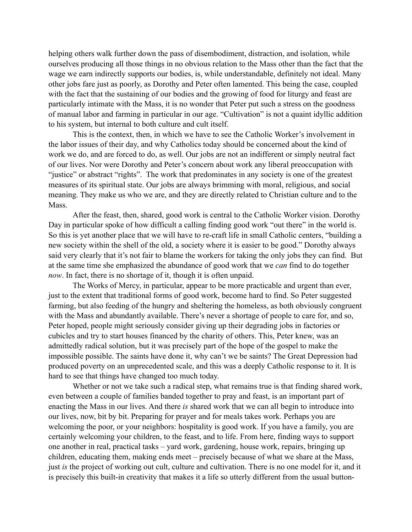helping others walk further down the pass of disembodiment, distraction, and isolation, while ourselves producing all those things in no obvious relation to the Mass other than the fact that the wage we earn indirectly supports our bodies, is, while understandable, definitely not ideal. Many other jobs fare just as poorly, as Dorothy and Peter often lamented. This being the case, coupled with the fact that the sustaining of our bodies and the growing of food for liturgy and feast are particularly intimate with the Mass, it is no wonder that Peter put such a stress on the goodness of manual labor and farming in particular in our age. "Cultivation" is not a quaint idyllic addition to his system, but internal to both culture and cult itself.

This is the context, then, in which we have to see the Catholic Worker's involvement in the labor issues of their day, and why Catholics today should be concerned about the kind of work we do, and are forced to do, as well. Our jobs are not an indifferent or simply neutral fact of our lives. Nor were Dorothy and Peter's concern about work any liberal preoccupation with "justice" or abstract "rights". The work that predominates in any society is one of the greatest measures of its spiritual state. Our jobs are always brimming with moral, religious, and social meaning. They make us who we are, and they are directly related to Christian culture and to the Mass.

After the feast, then, shared, good work is central to the Catholic Worker vision. Dorothy Day in particular spoke of how difficult a calling finding good work "out there" in the world is. So this is yet another place that we will have to re-craft life in small Catholic centers, "building a new society within the shell of the old, a society where it is easier to be good." Dorothy always said very clearly that it's not fair to blame the workers for taking the only jobs they can find. But at the same time she emphasized the abundance of good work that we *can* find to do together *now*. In fact, there is no shortage of it, though it is often unpaid.

The Works of Mercy, in particular, appear to be more practicable and urgent than ever, just to the extent that traditional forms of good work, become hard to find. So Peter suggested farming, but also feeding of the hungry and sheltering the homeless, as both obviously congruent with the Mass and abundantly available. There's never a shortage of people to care for, and so, Peter hoped, people might seriously consider giving up their degrading jobs in factories or cubicles and try to start houses financed by the charity of others. This, Peter knew, was an admittedly radical solution, but it was precisely part of the hope of the gospel to make the impossible possible. The saints have done it, why can't we be saints? The Great Depression had produced poverty on an unprecedented scale, and this was a deeply Catholic response to it. It is hard to see that things have changed too much today.

Whether or not we take such a radical step, what remains true is that finding shared work, even between a couple of families banded together to pray and feast, is an important part of enacting the Mass in our lives. And there *is* shared work that we can all begin to introduce into our lives, now, bit by bit. Preparing for prayer and for meals takes work. Perhaps you are welcoming the poor, or your neighbors: hospitality is good work. If you have a family, you are certainly welcoming your children, to the feast, and to life. From here, finding ways to support one another in real, practical tasks – yard work, gardening, house work, repairs, bringing up children, educating them, making ends meet – precisely because of what we share at the Mass, just *is* the project of working out cult, culture and cultivation. There is no one model for it, and it is precisely this built-in creativity that makes it a life so utterly different from the usual button